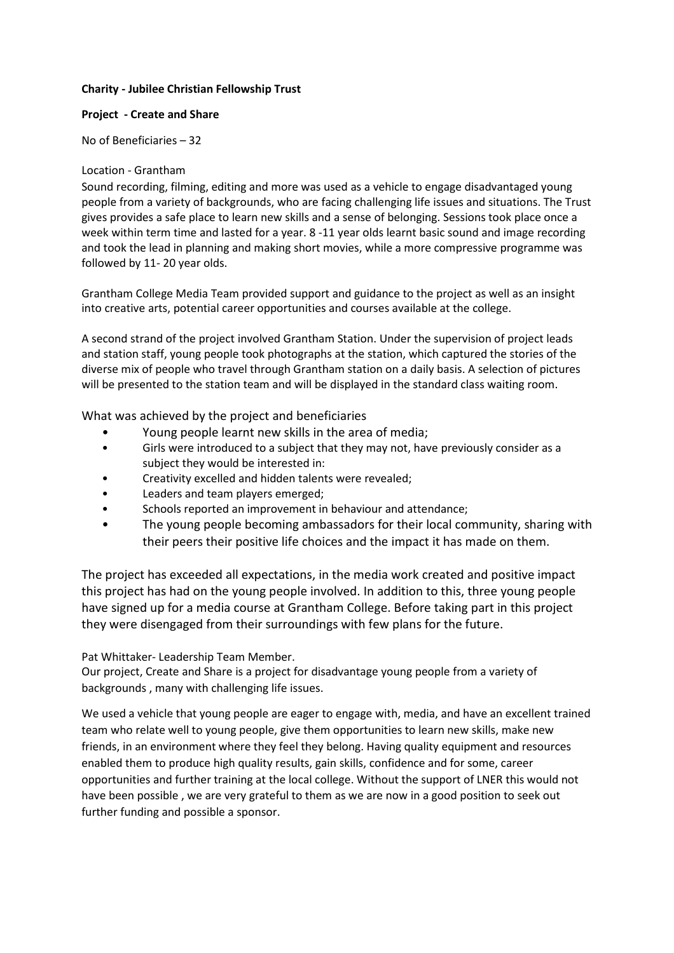## Charity - Jubilee Christian Fellowship Trust

## Project - Create and Share

No of Beneficiaries – 32

## Location - Grantham

Sound recording, filming, editing and more was used as a vehicle to engage disadvantaged young people from a variety of backgrounds, who are facing challenging life issues and situations. The Trust gives provides a safe place to learn new skills and a sense of belonging. Sessions took place once a week within term time and lasted for a year. 8 -11 year olds learnt basic sound and image recording and took the lead in planning and making short movies, while a more compressive programme was followed by 11- 20 year olds.

Grantham College Media Team provided support and guidance to the project as well as an insight into creative arts, potential career opportunities and courses available at the college.

A second strand of the project involved Grantham Station. Under the supervision of project leads and station staff, young people took photographs at the station, which captured the stories of the diverse mix of people who travel through Grantham station on a daily basis. A selection of pictures will be presented to the station team and will be displayed in the standard class waiting room.

What was achieved by the project and beneficiaries

- Young people learnt new skills in the area of media;
- Girls were introduced to a subject that they may not, have previously consider as a subject they would be interested in:
- Creativity excelled and hidden talents were revealed;
- Leaders and team players emerged;
- Schools reported an improvement in behaviour and attendance;
- The young people becoming ambassadors for their local community, sharing with their peers their positive life choices and the impact it has made on them.

The project has exceeded all expectations, in the media work created and positive impact this project has had on the young people involved. In addition to this, three young people have signed up for a media course at Grantham College. Before taking part in this project they were disengaged from their surroundings with few plans for the future.

Pat Whittaker- Leadership Team Member.

Our project, Create and Share is a project for disadvantage young people from a variety of backgrounds , many with challenging life issues.

We used a vehicle that young people are eager to engage with, media, and have an excellent trained team who relate well to young people, give them opportunities to learn new skills, make new friends, in an environment where they feel they belong. Having quality equipment and resources enabled them to produce high quality results, gain skills, confidence and for some, career opportunities and further training at the local college. Without the support of LNER this would not have been possible , we are very grateful to them as we are now in a good position to seek out further funding and possible a sponsor.